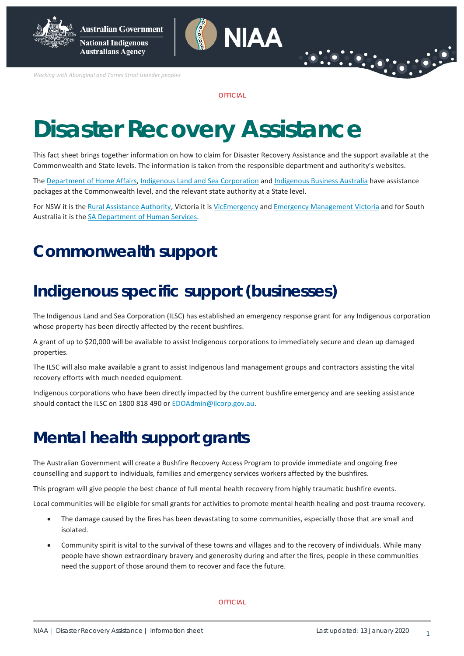

**National Indigenous Australians Agency** 

*Working with Aboriginal and Torres Strait Islander peoples*

**OFFICIAL** 

NIAA

# **Disaster Recovery Assistance**

This fact sheet brings together information on how to claim for Disaster Recovery Assistance and the support available at the Commonwealth and State levels. The information is taken from the responsible department and authority's websites.

The [Department of Home Affairs,](https://www.homeaffairs.gov.au/about-us/our-portfolios/emergency-management/recovery-assistance) [Indigenous Land and Sea Corporation](https://www.ilsc.gov.au/) and [Indigenous Business Australia](https://www.iba.gov.au/bushfire-crisis-support/) have assistance packages at the Commonwealth level, and the relevant state authority at a State level.

For NSW it is th[e Rural Assistance Authority,](https://www.raa.nsw.gov.au/disaster-assistance/declared-natural-disasters) Victoria it is [VicEmergency](https://emergency.vic.gov.au/relief/#financial_assistance) an[d Emergency Management Victoria](https://www.emv.vic.gov.au/natural-disaster-financial-assistance) and for South Australia it is the [SA Department of Human Services.](https://dhs.sa.gov.au/services/disaster-recovery)

## **Commonwealth support**

## **Indigenous specific support (businesses)**

The Indigenous Land and Sea Corporation (ILSC) has established an emergency response grant for any Indigenous corporation whose property has been directly affected by the recent bushfires.

A grant of up to \$20,000 will be available to assist Indigenous corporations to immediately secure and clean up damaged properties.

The ILSC will also make available a grant to assist Indigenous land management groups and contractors assisting the vital recovery efforts with much needed equipment.

Indigenous corporations who have been directly impacted by the current bushfire emergency and are seeking assistance should contact the ILSC on 1800 818 490 or EDOAdmin@ilcorp.gov.au.

## **Mental health support grants**

The Australian Government will create a Bushfire Recovery Access Program to provide immediate and ongoing free counselling and support to individuals, families and emergency services workers affected by the bushfires.

This program will give people the best chance of full mental health recovery from highly traumatic bushfire events.

Local communities will be eligible for small grants for activities to promote mental health healing and post-trauma recovery.

- The damage caused by the fires has been devastating to some communities, especially those that are small and isolated.
- Community spirit is vital to the survival of these towns and villages and to the recovery of individuals. While many people have shown extraordinary bravery and generosity during and after the fires, people in these communities need the support of those around them to recover and face the future.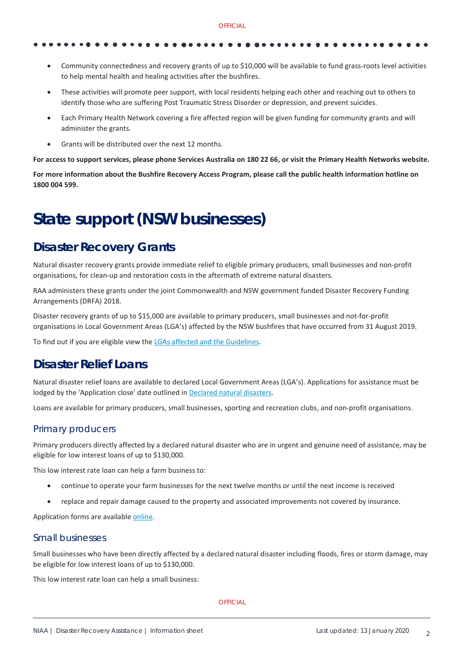- 
- Community connectedness and recovery grants of up to \$10,000 will be available to fund grass-roots level activities to help mental health and healing activities after the bushfires.
- These activities will promote peer support, with local residents helping each other and reaching out to others to identify those who are suffering Post Traumatic Stress Disorder or depression, and prevent suicides.
- Each Primary Health Network covering a fire affected region will be given funding for community grants and will administer the grants.
- Grants will be distributed over the next 12 months.

**For access to support services, please phone Services Australia on 180 22 66, or visit the Primary Health Networks website.**

**For more information about the Bushfire Recovery Access Program, please call the public health information hotline on 1800 004 599.**

## **State support (NSW businesses)**

### **Disaster Recovery Grants**

Natural disaster recovery grants provide immediate relief to eligible primary producers, small businesses and non-profit organisations, for clean-up and restoration costs in the aftermath of extreme natural disasters.

RAA administers these grants under the joint Commonwealth and NSW government funded Disaster Recovery Funding Arrangements (DRFA) 2018.

Disaster recovery grants of up to \$15,000 are available to primary producers, small businesses and not-for-profit organisations in Local Government Areas (LGA's) affected by the NSW bushfires that have occurred from 31 August 2019.

To find out if you are eligible view the [LGAs affected and the Guidelines.](https://www.raa.nsw.gov.au/disaster-assistance/disaster-recovery-grants/bushfires)

### **Disaster Relief Loans**

Natural disaster relief loans are available to declared Local Government Areas (LGA's). Applications for assistance must be lodged by the 'Application close' date outlined in [Declared natural disasters.](https://www.raa.nsw.gov.au/disaster-assistance/declared-natural-disasters)

Loans are available for primary producers, small businesses, sporting and recreation clubs, and non-profit organisations.

#### Primary producers

Primary producers directly affected by a declared natural disaster who are in urgent and genuine need of assistance, may be eligible for low interest loans of up to \$130,000.

This low interest rate loan can help a farm business to:

- continue to operate your farm businesses for the next twelve months or until the next income is received
- replace and repair damage caused to the property and associated improvements not covered by insurance.

Application forms are availabl[e online.](https://www.raa.nsw.gov.au/disaster-assistance/disaster-recovery-loans/primary-producers)

#### Small businesses

Small businesses who have been directly affected by a declared natural disaster including floods, fires or storm damage, may be eligible for low interest loans of up to \$130,000.

This low interest rate loan can help a small business: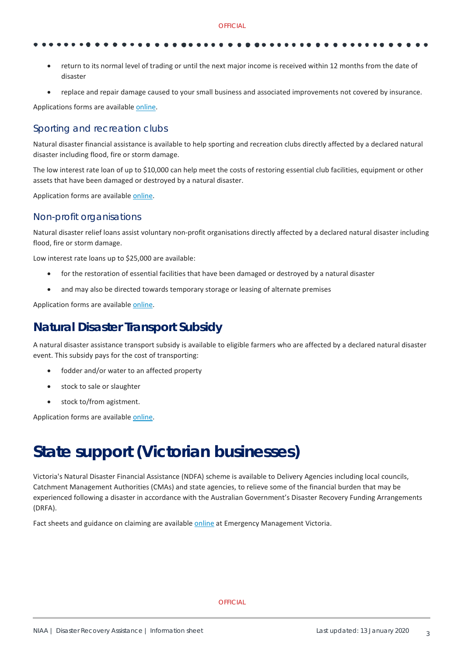- - return to its normal level of trading or until the next major income is received within 12 months from the date of disaster
	- replace and repair damage caused to your small business and associated improvements not covered by insurance.

Applications forms are availabl[e online.](https://www.raa.nsw.gov.au/disaster-assistance/disaster-recovery-loans/small-business)

#### Sporting and recreation clubs

Natural disaster financial assistance is available to help sporting and recreation clubs directly affected by a declared natural disaster including flood, fire or storm damage.

The low interest rate loan of up to \$10,000 can help meet the costs of restoring essential club facilities, equipment or other assets that have been damaged or destroyed by a natural disaster.

Application forms are availabl[e online.](https://www.raa.nsw.gov.au/disaster-assistance/disaster-recovery-loans/sporting-and-recreation-clubs)

#### Non-profit organisations

Natural disaster relief loans assist voluntary non-profit organisations directly affected by a declared natural disaster including flood, fire or storm damage.

Low interest rate loans up to \$25,000 are available:

- for the restoration of essential facilities that have been damaged or destroyed by a natural disaster
- and may also be directed towards temporary storage or leasing of alternate premises

Application forms are availabl[e online.](https://www.raa.nsw.gov.au/disaster-assistance/disaster-recovery-loans/non-profit-organisations)

### **Natural Disaster Transport Subsidy**

A natural disaster assistance transport subsidy is available to eligible farmers who are affected by a declared natural disaster event. This subsidy pays for the cost of transporting:

- fodder and/or water to an affected property
- stock to sale or slaughter
- stock to/from agistment.

Application forms are availabl[e online.](https://www.raa.nsw.gov.au/grants/natural-disaster-transport-subsidy)

## **State support (Victorian businesses)**

Victoria's Natural Disaster Financial Assistance (NDFA) scheme is available to Delivery Agencies including local councils, Catchment Management Authorities (CMAs) and state agencies, to relieve some of the financial burden that may be experienced following a disaster in accordance with the Australian Government's Disaster Recovery Funding Arrangements (DRFA).

Fact sheets and guidance on claiming are availabl[e online](https://www.emv.vic.gov.au/natural-disaster-financial-assistance/events-post-1-november-2018) at Emergency Management Victoria.